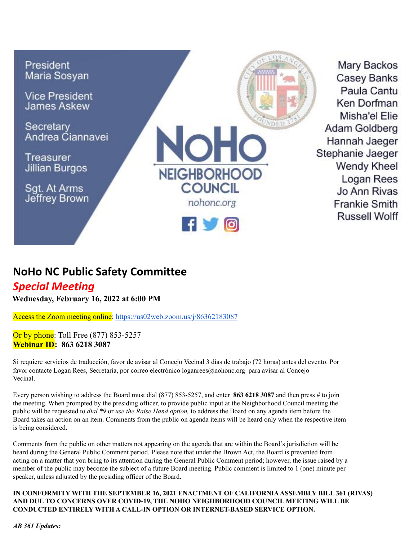

Mary Backos **Casey Banks** Paula Cantu Ken Dorfman Misha'el Elie Adam Goldberg Hannah Jaeger Stephanie Jaeger **Wendy Kheel** Logan Rees Jo Ann Rivas **Frankie Smith Russell Wolff** 

## **NoHo NC Public Safety Committee**

## *Special Meeting*

**Wednesday, February 16, 2022 at 6:00 PM**

Access the Zoom meeting online: <https://us02web.zoom.us/j/86362183087>

Or by phone: Toll Free (877) 853-5257 **Webinar ID: 863 6218 3087**

Si requiere servicios de traducción, favor de avisar al Concejo Vecinal 3 días de trabajo (72 horas) antes del evento. Por favor contacte Logan Rees, Secretaria, por correo electrónico [loganrees@nohonc.org](mailto:loganrees@nohonc.org) para avisar al Concejo Vecinal.

Every person wishing to address the Board must dial (877) 853-5257, and enter **863 6218 3087** and then press # to join the meeting. When prompted by the presiding officer, to provide public input at the Neighborhood Council meeting the public will be requested to *dial \*9* or *use the Raise Hand option,* to address the Board on any agenda item before the Board takes an action on an item. Comments from the public on agenda items will be heard only when the respective item is being considered.

Comments from the public on other matters not appearing on the agenda that are within the Board's jurisdiction will be heard during the General Public Comment period. Please note that under the Brown Act, the Board is prevented from acting on a matter that you bring to its attention during the General Public Comment period; however, the issue raised by a member of the public may become the subject of a future Board meeting. Public comment is limited to 1 (one) minute per speaker, unless adjusted by the presiding officer of the Board.

**IN CONFORMITY WITH THE SEPTEMBER 16, 2021 ENACTMENT OF CALIFORNIAASSEMBLY BILL 361 (RIVAS) AND DUE TO CONCERNS OVER COVID-19, THE NOHO NEIGHBORHOOD COUNCIL MEETING WILL BE CONDUCTED ENTIRELY WITH A CALL-IN OPTION OR INTERNET-BASED SERVICE OPTION.**

*AB 361 Updates:*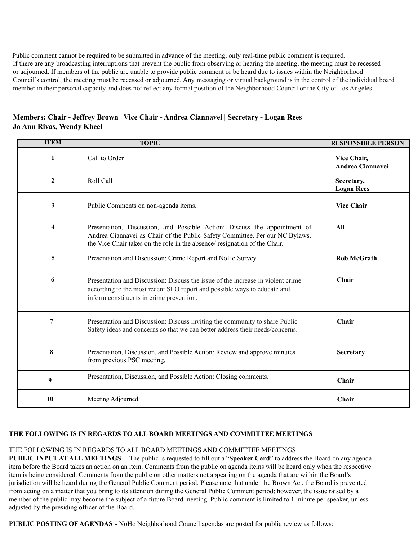Public comment cannot be required to be submitted in advance of the meeting, only real-time public comment is required. If there are any broadcasting interruptions that prevent the public from observing or hearing the meeting, the meeting must be recessed or adjourned. If members of the public are unable to provide public comment or be heard due to issues within the Neighborhood Council's control, the meeting must be recessed or adjourned. Any messaging or virtual background is in the control of the individual board member in their personal capacity and does not reflect any formal position of the Neighborhood Council or the City of Los Angeles

**Members: Chair - Jeffrey Brown | Vice Chair - Andrea Ciannavei | Secretary - Logan Rees Jo Ann Rivas, Wendy Kheel**

| <b>ITEM</b>    | <b>TOPIC</b>                                                                                                                                                                                                                            | <b>RESPONSIBLE PERSON</b>       |
|----------------|-----------------------------------------------------------------------------------------------------------------------------------------------------------------------------------------------------------------------------------------|---------------------------------|
| 1              | Call to Order                                                                                                                                                                                                                           | Vice Chair,<br>Andrea Ciannavei |
| $\mathbf{2}$   | Roll Call                                                                                                                                                                                                                               | Secretary,<br><b>Logan Rees</b> |
| 3              | Public Comments on non-agenda items.                                                                                                                                                                                                    | <b>Vice Chair</b>               |
| 4              | Presentation, Discussion, and Possible Action: Discuss the appointment of<br>Andrea Ciannavei as Chair of the Public Safety Committee. Per our NC Bylaws,<br>the Vice Chair takes on the role in the absence/ resignation of the Chair. | All                             |
| 5              | Presentation and Discussion: Crime Report and NoHo Survey                                                                                                                                                                               | <b>Rob McGrath</b>              |
| 6              | Presentation and Discussion: Discuss the issue of the increase in violent crime<br>according to the most recent SLO report and possible ways to educate and<br>inform constituents in crime prevention.                                 | Chair                           |
| $\overline{7}$ | Presentation and Discussion: Discuss inviting the community to share Public<br>Safety ideas and concerns so that we can better address their needs/concerns.                                                                            | Chair                           |
| 8              | Presentation, Discussion, and Possible Action: Review and approve minutes<br>from previous PSC meeting.                                                                                                                                 | Secretary                       |
| 9              | Presentation, Discussion, and Possible Action: Closing comments.                                                                                                                                                                        | Chair                           |
| 10             | Meeting Adjourned.                                                                                                                                                                                                                      | Chair                           |

## **THE FOLLOWING IS IN REGARDS TO ALL BOARD MEETINGS AND COMMITTEE MEETINGS**

## THE FOLLOWING IS IN REGARDS TO ALL BOARD MEETINGS AND COMMITTEE MEETINGS

**PUBLIC INPUT AT ALL MEETINGS** – The public is requested to fill out a "**Speaker Card**" to address the Board on any agenda item before the Board takes an action on an item. Comments from the public on agenda items will be heard only when the respective item is being considered. Comments from the public on other matters not appearing on the agenda that are within the Board's jurisdiction will be heard during the General Public Comment period. Please note that under the Brown Act, the Board is prevented from acting on a matter that you bring to its attention during the General Public Comment period; however, the issue raised by a member of the public may become the subject of a future Board meeting. Public comment is limited to 1 minute per speaker, unless adjusted by the presiding officer of the Board.

**PUBLIC POSTING OF AGENDAS** - NoHo Neighborhood Council agendas are posted for public review as follows: